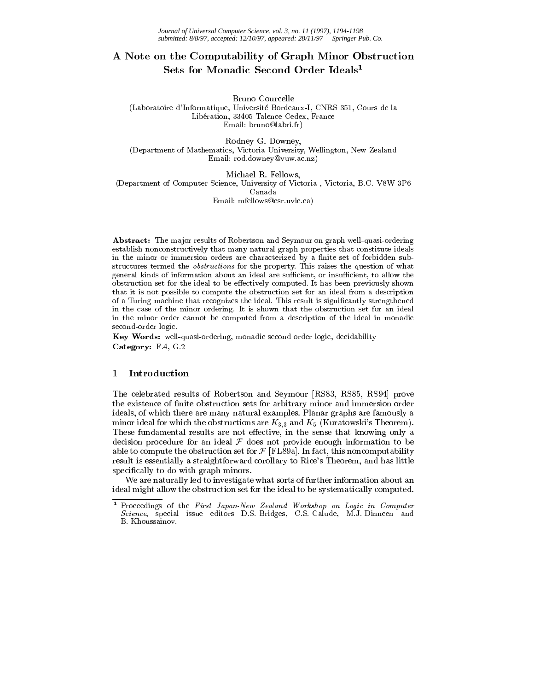# A Note on the Computability of Graph Minor Obstruction Sets for Monadic Second Order Ideals<sup>1</sup>

Bruno Courcelle (Laboratoire d'Informatique, Universite Bordeaux-I, CNRS 351, Cours de la Liberation, 33405 Talence Cedex, France Email: bruno@labri.fr)

Rodney G. Downey, (Department of Mathematics, Victoria University, Wellington, New Zealand Email: rod.downey@vuw.ac.nz)

Michael R. Fellows, (Department of Computer Science, University of Victoria , Victoria, B.C. V8W 3P6 Canada Email: mfellows@csr.uvic.ca)

Abstract: The major results of Robertson and Seymour on graph well-quasi-ordering establish nonconstructively that many natural graph properties that constitute ideals in the minor or immersion orders are characterized by a finite set of forbidden substructures termed the obstructions for the property. This raises the question of what general kinds of information about an ideal are sufficient, or insufficient, to allow the obstruction set for the ideal to be effectively computed. It has been previously shown that it is not possible to compute the obstruction set for an ideal from a description of a Turing machine that recognizes the ideal. This result is signicantly strengthened in the case of the minor ordering. It is shown that the obstruction set for an ideal in the minor order cannot be computed from a description of the ideal in monadic second-order logic.

Key Words: well-quasi-ordering, monadic second order logic, decidability Category: F.4, G.2

# <sup>1</sup> Introduction

The celebrated results of Robertson and Seymour [RS83, RS85, RS94] prove the existence of finite obstruction sets for arbitrary minor and immersion order ideals, of which there are many natural examples. Planar graphs are famously a minor ideal for which the obstructions are  $K_{3,3}$  and  $K_5$  (Kuratowski's Theorem). These fundamental results are not effective, in the sense that knowing only a decision procedure for an ideal F doesnot provide enough information to be able to compute the obstruction set for F  $\mathfrak{c}$  [FL89a]. In fact, this non-this non-this non-put ability  $\mathfrak{c}$ result is essentially a straightforward corollary to Rice's Theorem, and has little specifically to do with graph minors.

We are naturally led to investigate what sorts of further information about an ideal might allow the obstruction set for the ideal to be systematically computed.

 $1$  Proceedings of the First Japan-New Zealand Workshop on Logic in Computer Science, special issue editors D.S. Bridges, C.S. Calude, M.J. Dinneen and B. Khoussainov.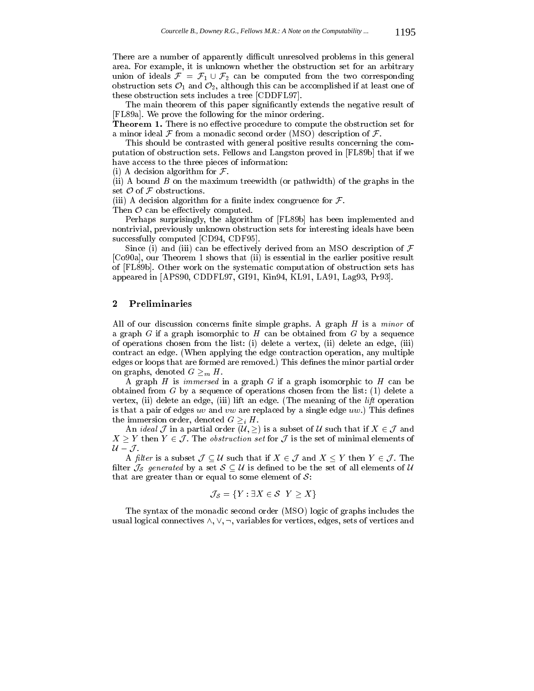There are a number of apparently difficult unresolved problems in this general area. For example, it is unknown whether the obstruction set for an arbitrary union of ideals  $\mathcal{F} = \mathcal{F}_1 \cup \mathcal{F}_2$  can be computed from the two corresponding obstruction sets  $\mathcal{O}_1$  and  $\mathcal{O}_2$ , although this can be accomplished if at least one of these obstruction sets includes a tree [CDDFL97].

The main theorem of this paper signicantly extends the negative result of [FL89a]. We prove the following for the minor ordering.

**Theorem 1.** There is no effective procedure to compute the obstruction set for a minor ideal F from a monadic second order (MSO) description of F.

This should be contrasted with general positive results concerning the computation of obstruction sets. Fellows and Langston proved in [FL89b] that if we have access to the three pieces of information:

 $\mathcal{L}$  and  $\mathcal{L}$  are formulated algorithm for  $\mathcal{L}$  .

(ii) A bound  $B$  on the maximum treewidth (or pathwidth) of the graphs in the

 $\Box$ iii) A decision algorithm for a decision algorithm for a set  $\Box$ 

The can be extended to the extended of the computer of the computer of the computation of the computation of the computation of the computation of the computation of the computation of the computation of the computation of

Perhaps surprisingly, the algorithm of [FL89b] has been implemented and nontrivial, previously unknown obstruction sets for interesting ideals have been successfully computed [CD94, CDF95].

Since (i) and (iii) can be effectively derived from an MSO description of  $\mathcal F$ [Co90a], our Theorem 1 shows that (ii) is essential in the earlier positive result of [FL89b]. Other work on the systematic computation of obstruction sets has appeared in [APS90, CDDFL97, GI91, Kin94, KL91, LA91, Lag93, Pr93].

All of our discussion concerns finite simple graphs. A graph  $H$  is a *minor* of a graph  $G$  if a graph isomorphic to  $H$  can be obtained from  $G$  by a sequence of operations chosen from the list: (i) delete a vertex, (ii) delete an edge, (iii) contract an edge. (When applying the edge contraction operation, any multiple edges or loops that are formed are removed.) This defines the minor partial order on graphs, denoted <sup>G</sup> m H.

A graph  $H$  is *immersed* in a graph  $G$  if a graph isomorphic to  $H$  can be obtained from <sup>G</sup> by a sequence of operations chosen from the list: (1) delete a vertex, (ii) delete an edge, (iii) lift an edge. (The meaning of the lift operation is that a pair of edges uv and vw are replaced by a single edge  $uw$ .) This defines the immersion order, denoted G is denoted G in  $\mathcal{L} = \mathcal{L}$ 

 $X \geq Y$  then  $Y \in \mathcal{J}$ . The *obstruction set* for  $\mathcal{J}$  is the set of minimal elements of  $\mathcal{U}-\mathcal{J}$ .  $\mathcal{U}-\mathcal{J}.$ 

A filter is a subset  $\mathcal{J} \subseteq \mathcal{U}$  such that if  $X \in \mathcal{J}$  and  $X \leq Y$  then  $Y \in \mathcal{J}$ . The filter  $\mathcal{J}_S$  generated by a set  $S \subseteq \mathcal{U}$  is defined to be the set of all elements of  $\mathcal{U}$ that are greater than or equal to some element of  $S$ :

$$
\mathcal{J}_{\mathcal{S}} = \{ Y : \exists X \in \mathcal{S} \mid Y \geq X \}
$$

The syntax of the monadic second order (MSO) logic of graphs includes the usual logical connectives  $\wedge, \vee, \neg$ , variables for vertices, edges, sets of vertices and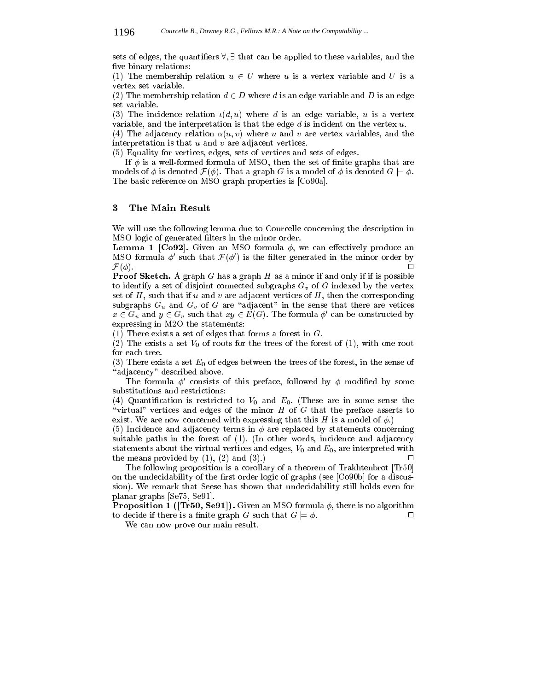sets of edges, the quantifiers  $\forall$ ,  $\exists$  that can be applied to these variables, and the five binary relations:

(1) The membership relation using  $\mathcal{L}$  using  $\mathcal{L}$  using  $\mathcal{L}$  is a vertex variable and U is a vertex variable and U is a vertex variable and U is a vertex variable and U is a vertex variable and U is a vertex v vertex set variable.

(2) The membership relation d 2 D where  $\alpha$  and  $\alpha$  and  $\alpha$  is an edge variable and  $\alpha$ set variable.

(3) The incidence relation  $\iota(d, u)$  where d is an edge variable, u is a vertex variable, and the interpretation is that the edge  $d$  is incident on the vertex  $u$ .

(4) The adjacency relation  $\alpha(u, v)$  where u and v are vertex variables, and the interpretation is that  $u$  and  $v$  are adjacent vertices.

(5) Equality for vertices, edges, sets of vertices and sets of edges.

If  $\phi$  is a well-formed formula of MSO, then the set of finite graphs that are models of  $\tau$  is denoted F(). That a graph G is a model of  $\tau$  is denoted G  $_{\pm}$  . . The basic reference on MSO graph properties is [Co90a].

# <sup>3</sup> The Main Result

We will use the following lemma due to Courcelle concerning the description in MSO logic of generated lters in the minor order.

**Lemma 1** [Co92]. Given an MSO formula  $\phi$ , we can effectively produce an MSO formula  $\varphi$  such that  ${\cal F}(\varphi$  ) is the filter generated in the minor order by  $\Box$  $F(X;Y)$ 

**Proof Sketch.** A graph G has a graph H as a minor if and only if if is possible to identify a set of disjoint connected subgraphs  $G_v$  of G indexed by the vertex set of  $H$ , such that if  $u$  and  $v$  are adjacent vertices of  $H$ , then the corresponding subgraphs  $G_u$  and  $G_v$  of G are "adjacent" in the sense that there are vetices  $x \in G_u$  and  $y \in G_v$  such that  $xy \in E(G)$ . The formula  $\varphi$  can be constructed by expressing in M2O the statements:

(1) There exists a set of edges that forms a forest in  $G$ .

(2) The exists a set  $V_0$  of roots for the trees of the forest of (1), with one root for each tree.

(3) There exists a set  $E_0$  of edges between the trees of the forest, in the sense of "adjacency" described above.

The formula  $\phi'$  consists of this preface, followed by  $\phi$  modified by some substitutions and restrictions:

(4) Quantification is restricted to  $V_0$  and  $E_0$ . (These are in some sense the "virtual" vertices and edges of the minor  $H$  of  $G$  that the preface asserts to exist. We are now concerned with expressing that this H is a model of  $\phi$ .)

(5) Incidence and adjacency terms in  $\phi$  are replaced by statements concerning suitable paths in the forest of (1). (In other words, incidence and adjacency statements about the virtual vertices and edges,  $V_0$  and  $E_0$ , are interpreted with the means provided by  $(1)$ ,  $(2)$  and  $(3)$ . П

The following proposition is a corollary of a theorem of Trakhtenbrot [Tr50] on the undecidability of the first order logic of graphs (see  $[Co90b]$  for a discussion). We remark that Seese has shown that undecidability still holds even for planar graphs [Se75, Se91].

**Proposition 1** ([Tr50, Se91]). Given an MSO formula  $\phi$ , there is no algorithm to decide if there is a finite graph G such that  $G \models \phi$ .  $\Box$ 

We can now prove our main result.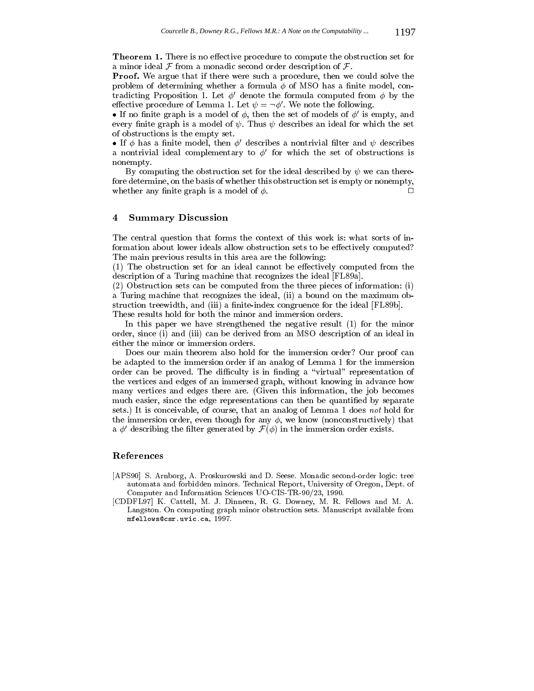**Theorem 1.** There is no effective procedure to compute the obstruction set for a minor ideal F from a monadic second order description of F.

Proof. We argue that if there were such a procedure, then we could solve the problem of determining whether a formula  $\phi$  of MSO has a finite model, contradicting Proposition 1. Let  $\phi'$  denote the formula computed from  $\phi$  by the effective procedure of Lemma 1. Let  $\psi = \neg \phi'$ . We note the following.

• If no finite graph is a model of  $\phi$ , then the set of models of  $\phi'$  is empty, and every finite graph is a model of  $\psi$ . Thus  $\psi$  describes an ideal for which the set of obstructions is the empty set.

• If  $\phi$  has a finite model, then  $\phi'$  describes a nontrivial filter and  $\psi$  describes a nontrivial ideal complementary to  $\phi'$  for which the set of obstructions is nonempty.

By computing the obstruction set for the ideal described by  $\psi$  we can therefore determine, on the basis of whether this obstruction set is empty or nonempty, whether any finite graph is a model of  $\phi$ .  $\Box$ 

### <sup>4</sup> Summary Discussion

The central question that forms the context of this work is: what sorts of information about lower ideals allow obstruction sets to be effectively computed? The main previous results in this area are the following:

 $(1)$  The obstruction set for an ideal cannot be effectively computed from the description of a Turing machine that recognizes the ideal [FL89a].

(2) Obstruction sets can be computed from the three pieces of information: (i) a Turing machine that recognizes the ideal, (ii) a bound on the maximum obstruction treewidth, and (iii) a finite-index congruence for the ideal [FL89b].

These results hold for both the minor and immersion orders.

In this paper we have strengthened the negative result (1) for the minor order, since (i) and (iii) can be derived from an MSO description of an ideal in either the minor or immersion orders.

Does our main theorem also hold for the immersion order? Our proof can be adapted to the immersion order if an analog of Lemma 1 for the immersion order can be proved. The difficulty is in finding a "virtual" representation of the vertices and edges of an immersed graph, without knowing in advance how many vertices and edges there are. (Given this information, the job becomes much easier, since the edge representations can then be quantied by separate sets.) It is conceivable, of course, that an analog of Lemma 1 does not hold for the immersion order, even though for any  $\phi$ , we know (nonconstructively) that a  $\varphi$  -describing the litter generated by  $\mathcal{F}(\varphi)$  in the immersion order exists.

#### References

- [APS90] S. Arnborg, A. Proskurowski and D. Seese. Monadic second-order logic: tree automata and forbidden minors. Technical Report, University of Oregon, Dept. of Computer and Information Sciences UO-CIS-TR-90/23, 1990.
- [CDDFL97] K. Cattell, M. J. Dinneen, R. G. Downey, M. R. Fellows and M. A. Langston. On computing graph minor obstruction sets. Manuscript available from mfellows@csr.uvic.ca, 1997.